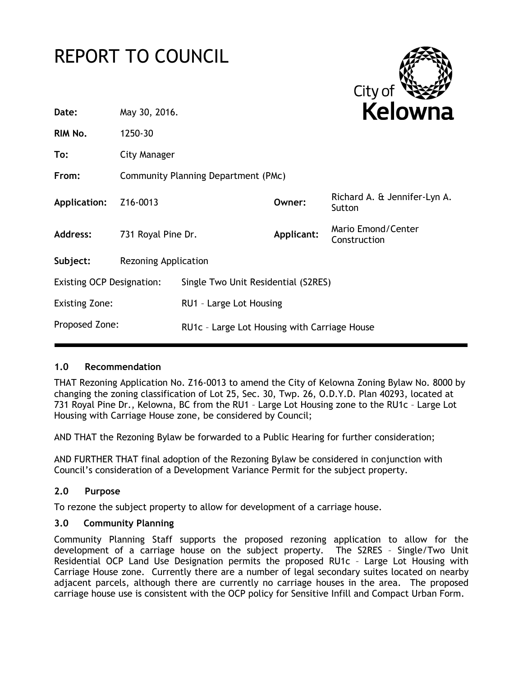# REPORT TO COUNCIL



| Date:                            | May 30, 2016.                       |                                              |            | Kelowna                                |  |
|----------------------------------|-------------------------------------|----------------------------------------------|------------|----------------------------------------|--|
| RIM No.                          | 1250-30                             |                                              |            |                                        |  |
| To:                              | City Manager                        |                                              |            |                                        |  |
| From:                            | Community Planning Department (PMc) |                                              |            |                                        |  |
| Application:                     | Z16-0013                            |                                              | Owner:     | Richard A. & Jennifer-Lyn A.<br>Sutton |  |
| <b>Address:</b>                  | 731 Royal Pine Dr.                  |                                              | Applicant: | Mario Emond/Center<br>Construction     |  |
| Subject:                         | <b>Rezoning Application</b>         |                                              |            |                                        |  |
| <b>Existing OCP Designation:</b> |                                     | Single Two Unit Residential (S2RES)          |            |                                        |  |
| <b>Existing Zone:</b>            |                                     | RU1 - Large Lot Housing                      |            |                                        |  |
| Proposed Zone:                   |                                     | RU1c - Large Lot Housing with Carriage House |            |                                        |  |
|                                  |                                     |                                              |            |                                        |  |

#### **1.0 Recommendation**

THAT Rezoning Application No. Z16-0013 to amend the City of Kelowna Zoning Bylaw No. 8000 by changing the zoning classification of Lot 25, Sec. 30, Twp. 26, O.D.Y.D. Plan 40293, located at 731 Royal Pine Dr., Kelowna, BC from the RU1 – Large Lot Housing zone to the RU1c – Large Lot Housing with Carriage House zone, be considered by Council;

AND THAT the Rezoning Bylaw be forwarded to a Public Hearing for further consideration;

AND FURTHER THAT final adoption of the Rezoning Bylaw be considered in conjunction with Council's consideration of a Development Variance Permit for the subject property.

#### **2.0 Purpose**

To rezone the subject property to allow for development of a carriage house.

# **3.0 Community Planning**

Community Planning Staff supports the proposed rezoning application to allow for the development of a carriage house on the subject property. The S2RES – Single/Two Unit Residential OCP Land Use Designation permits the proposed RU1c – Large Lot Housing with Carriage House zone. Currently there are a number of legal secondary suites located on nearby adjacent parcels, although there are currently no carriage houses in the area. The proposed carriage house use is consistent with the OCP policy for Sensitive Infill and Compact Urban Form.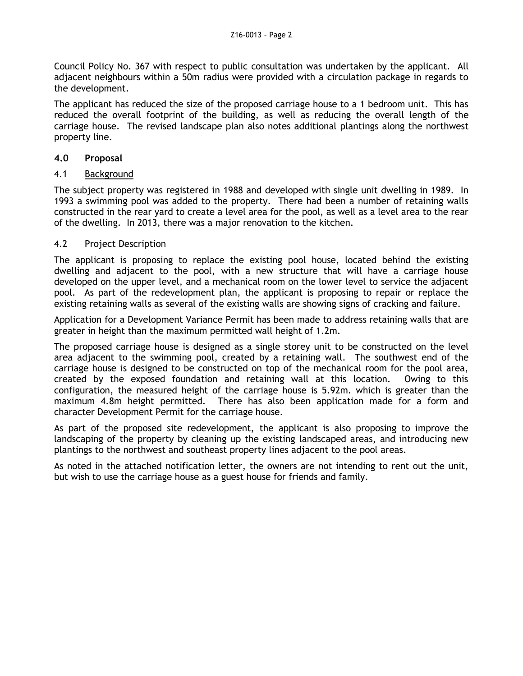Council Policy No. 367 with respect to public consultation was undertaken by the applicant. All adjacent neighbours within a 50m radius were provided with a circulation package in regards to the development.

The applicant has reduced the size of the proposed carriage house to a 1 bedroom unit. This has reduced the overall footprint of the building, as well as reducing the overall length of the carriage house. The revised landscape plan also notes additional plantings along the northwest property line.

# **4.0 Proposal**

# 4.1 Background

The subject property was registered in 1988 and developed with single unit dwelling in 1989. In 1993 a swimming pool was added to the property. There had been a number of retaining walls constructed in the rear yard to create a level area for the pool, as well as a level area to the rear of the dwelling. In 2013, there was a major renovation to the kitchen.

# 4.2 Project Description

The applicant is proposing to replace the existing pool house, located behind the existing dwelling and adjacent to the pool, with a new structure that will have a carriage house developed on the upper level, and a mechanical room on the lower level to service the adjacent pool. As part of the redevelopment plan, the applicant is proposing to repair or replace the existing retaining walls as several of the existing walls are showing signs of cracking and failure.

Application for a Development Variance Permit has been made to address retaining walls that are greater in height than the maximum permitted wall height of 1.2m.

The proposed carriage house is designed as a single storey unit to be constructed on the level area adjacent to the swimming pool, created by a retaining wall. The southwest end of the carriage house is designed to be constructed on top of the mechanical room for the pool area, created by the exposed foundation and retaining wall at this location. Owing to this configuration, the measured height of the carriage house is 5.92m. which is greater than the maximum 4.8m height permitted. There has also been application made for a form and character Development Permit for the carriage house.

As part of the proposed site redevelopment, the applicant is also proposing to improve the landscaping of the property by cleaning up the existing landscaped areas, and introducing new plantings to the northwest and southeast property lines adjacent to the pool areas.

As noted in the attached notification letter, the owners are not intending to rent out the unit, but wish to use the carriage house as a guest house for friends and family.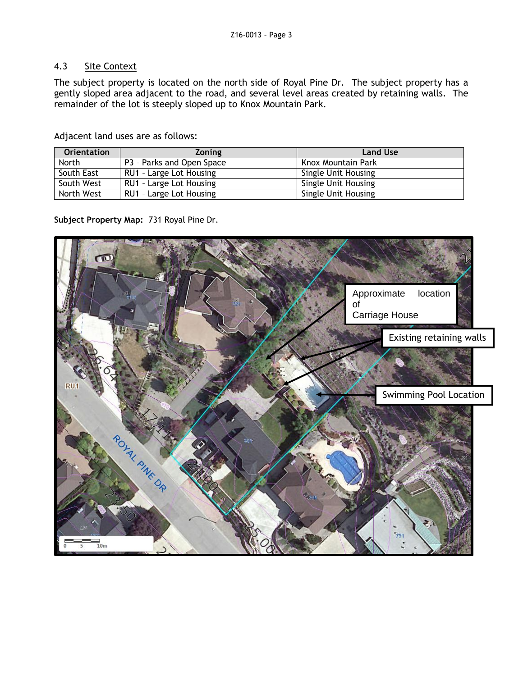# 4.3 Site Context

The subject property is located on the north side of Royal Pine Dr. The subject property has a gently sloped area adjacent to the road, and several level areas created by retaining walls. The remainder of the lot is steeply sloped up to Knox Mountain Park.

Adjacent land uses are as follows:

| <b>Orientation</b> | <b>Zoning</b>             | <b>Land Use</b>            |
|--------------------|---------------------------|----------------------------|
| North              | P3 - Parks and Open Space | Knox Mountain Park         |
| South East         | RU1 - Large Lot Housing   | Single Unit Housing        |
| South West         | RU1 - Large Lot Housing   | <b>Single Unit Housing</b> |
| North West         | RU1 - Large Lot Housing   | Single Unit Housing        |

**Subject Property Map:** 731 Royal Pine Dr.

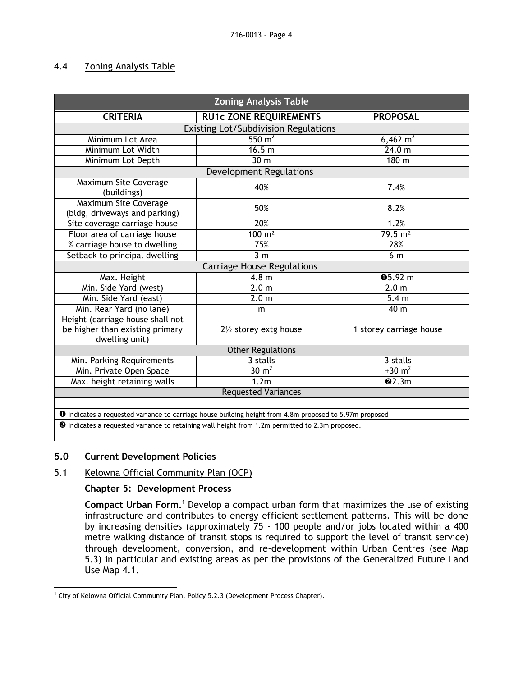#### 4.4 Zoning Analysis Table

| <b>Zoning Analysis Table</b>                                                                                   |                                   |                         |  |  |  |  |
|----------------------------------------------------------------------------------------------------------------|-----------------------------------|-------------------------|--|--|--|--|
| <b>CRITERIA</b>                                                                                                | <b>RU1c ZONE REQUIREMENTS</b>     | <b>PROPOSAL</b>         |  |  |  |  |
| <b>Existing Lot/Subdivision Regulations</b>                                                                    |                                   |                         |  |  |  |  |
| Minimum Lot Area                                                                                               | $550 \text{ m}^2$                 | $6,462 \text{ m}^2$     |  |  |  |  |
| Minimum Lot Width                                                                                              | 16.5 m                            | 24.0 m                  |  |  |  |  |
| Minimum Lot Depth                                                                                              | 30 m                              | 180 m                   |  |  |  |  |
|                                                                                                                | Development Regulations           |                         |  |  |  |  |
| <b>Maximum Site Coverage</b><br>(buildings)                                                                    | 40%                               | 7.4%                    |  |  |  |  |
| Maximum Site Coverage<br>(bldg, driveways and parking)                                                         | 50%                               | 8.2%                    |  |  |  |  |
| Site coverage carriage house                                                                                   | 20%                               | 1.2%                    |  |  |  |  |
| Floor area of carriage house                                                                                   | $100 \text{ m}^2$                 | $79.5 \text{ m}^2$      |  |  |  |  |
| % carriage house to dwelling                                                                                   | 75%                               | 28%                     |  |  |  |  |
| Setback to principal dwelling                                                                                  | 3 <sub>m</sub>                    | 6 m                     |  |  |  |  |
|                                                                                                                | <b>Carriage House Regulations</b> |                         |  |  |  |  |
| Max. Height                                                                                                    | 4.8 <sub>m</sub>                  | 05.92 m                 |  |  |  |  |
| Min. Side Yard (west)                                                                                          | $\overline{2.0}$ m                | 2.0 <sub>m</sub>        |  |  |  |  |
| Min. Side Yard (east)                                                                                          | 2.0 <sub>m</sub>                  | 5.4 <sub>m</sub>        |  |  |  |  |
| Min. Rear Yard (no lane)                                                                                       | m                                 | 40 m                    |  |  |  |  |
| Height (carriage house shall not<br>be higher than existing primary<br>dwelling unit)                          | 21/2 storey extg house            | 1 storey carriage house |  |  |  |  |
| <b>Other Regulations</b>                                                                                       |                                   |                         |  |  |  |  |
| Min. Parking Requirements                                                                                      | 3 stalls                          | 3 stalls                |  |  |  |  |
| Min. Private Open Space                                                                                        | $30 \text{ m}^2$                  | $+30 \text{ m}^2$       |  |  |  |  |
| Max. height retaining walls                                                                                    | 1.2m                              | Q2.3m                   |  |  |  |  |
| <b>Requested Variances</b>                                                                                     |                                   |                         |  |  |  |  |
|                                                                                                                |                                   |                         |  |  |  |  |
| <b>O</b> Indicates a requested variance to carriage house building height from 4.8m proposed to 5.97m proposed |                                   |                         |  |  |  |  |
| <sup>2</sup> Indicates a requested variance to retaining wall height from 1.2m permitted to 2.3m proposed.     |                                   |                         |  |  |  |  |

#### **5.0 Current Development Policies**

# 5.1 Kelowna Official Community Plan (OCP)

#### **Chapter 5: Development Process**

**Compact Urban Form.**<sup>1</sup> Develop a compact urban form that maximizes the use of existing infrastructure and contributes to energy efficient settlement patterns. This will be done by increasing densities (approximately 75 - 100 people and/or jobs located within a 400 metre walking distance of transit stops is required to support the level of transit service) through development, conversion, and re-development within Urban Centres (see Map 5.3) in particular and existing areas as per the provisions of the Generalized Future Land Use Map 4.1.

<sup>-</sup><sup>1</sup> City of Kelowna Official Community Plan, Policy 5.2.3 (Development Process Chapter).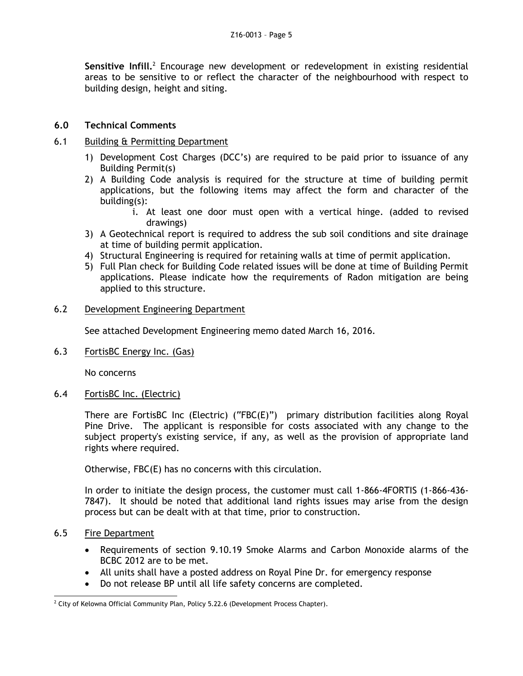Sensitive Infill.<sup>2</sup> Encourage new development or redevelopment in existing residential areas to be sensitive to or reflect the character of the neighbourhood with respect to building design, height and siting.

#### **6.0 Technical Comments**

#### 6.1 Building & Permitting Department

- 1) Development Cost Charges (DCC's) are required to be paid prior to issuance of any Building Permit(s)
- 2) A Building Code analysis is required for the structure at time of building permit applications, but the following items may affect the form and character of the building(s):
	- i. At least one door must open with a vertical hinge. (added to revised drawings)
- 3) A Geotechnical report is required to address the sub soil conditions and site drainage at time of building permit application.
- 4) Structural Engineering is required for retaining walls at time of permit application.
- 5) Full Plan check for Building Code related issues will be done at time of Building Permit applications. Please indicate how the requirements of Radon mitigation are being applied to this structure.

#### 6.2 Development Engineering Department

See attached Development Engineering memo dated March 16, 2016.

6.3 FortisBC Energy Inc. (Gas)

No concerns

6.4 FortisBC Inc. (Electric)

There are FortisBC Inc (Electric) ("FBC(E)") primary distribution facilities along Royal Pine Drive. The applicant is responsible for costs associated with any change to the subject property's existing service, if any, as well as the provision of appropriate land rights where required.

Otherwise, FBC(E) has no concerns with this circulation.

In order to initiate the design process, the customer must call 1-866-4FORTIS (1-866-436- 7847). It should be noted that additional land rights issues may arise from the design process but can be dealt with at that time, prior to construction.

#### 6.5 Fire Department

- Requirements of section 9.10.19 Smoke Alarms and Carbon Monoxide alarms of the BCBC 2012 are to be met.
- All units shall have a posted address on Royal Pine Dr. for emergency response
- Do not release BP until all life safety concerns are completed.

<sup>-</sup> $2$  City of Kelowna Official Community Plan, Policy 5.22.6 (Development Process Chapter).